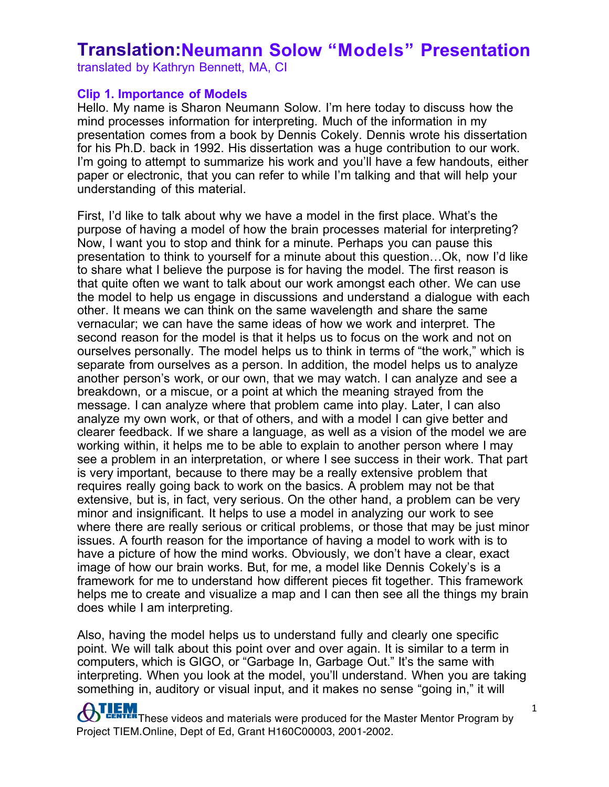translated by Kathryn Bennett, MA, CI

#### **Clip 1. Importance of Models**

Hello. My name is Sharon Neumann Solow. I'm here today to discuss how the mind processes information for interpreting. Much of the information in my presentation comes from a book by Dennis Cokely. Dennis wrote his dissertation for his Ph.D. back in 1992. His dissertation was a huge contribution to our work. I'm going to attempt to summarize his work and you'll have a few handouts, either paper or electronic, that you can refer to while I'm talking and that will help your understanding of this material.

First, I'd like to talk about why we have a model in the first place. What's the purpose of having a model of how the brain processes material for interpreting? Now, I want you to stop and think for a minute. Perhaps you can pause this presentation to think to yourself for a minute about this question…Ok, now I'd like to share what I believe the purpose is for having the model. The first reason is that quite often we want to talk about our work amongst each other. We can use the model to help us engage in discussions and understand a dialogue with each other. It means we can think on the same wavelength and share the same vernacular; we can have the same ideas of how we work and interpret. The second reason for the model is that it helps us to focus on the work and not on ourselves personally. The model helps us to think in terms of "the work," which is separate from ourselves as a person. In addition, the model helps us to analyze another person's work, or our own, that we may watch. I can analyze and see a breakdown, or a miscue, or a point at which the meaning strayed from the message. I can analyze where that problem came into play. Later, I can also analyze my own work, or that of others, and with a model I can give better and clearer feedback. If we share a language, as well as a vision of the model we are working within, it helps me to be able to explain to another person where I may see a problem in an interpretation, or where I see success in their work. That part is very important, because to there may be a really extensive problem that requires really going back to work on the basics. A problem may not be that extensive, but is, in fact, very serious. On the other hand, a problem can be very minor and insignificant. It helps to use a model in analyzing our work to see where there are really serious or critical problems, or those that may be just minor issues. A fourth reason for the importance of having a model to work with is to have a picture of how the mind works. Obviously, we don't have a clear, exact image of how our brain works. But, for me, a model like Dennis Cokely's is a framework for me to understand how different pieces fit together. This framework helps me to create and visualize a map and I can then see all the things my brain does while I am interpreting.

Also, having the model helps us to understand fully and clearly one specific point. We will talk about this point over and over again. It is similar to a term in computers, which is GIGO, or "Garbage In, Garbage Out." It's the same with interpreting. When you look at the model, you'll understand. When you are taking something in, auditory or visual input, and it makes no sense "going in," it will

THEM<br>THE These videos and materials were produced for the Master Mentor Program by Project TIEM.Online, Dept of Ed, Grant H160C00003, 2001-2002.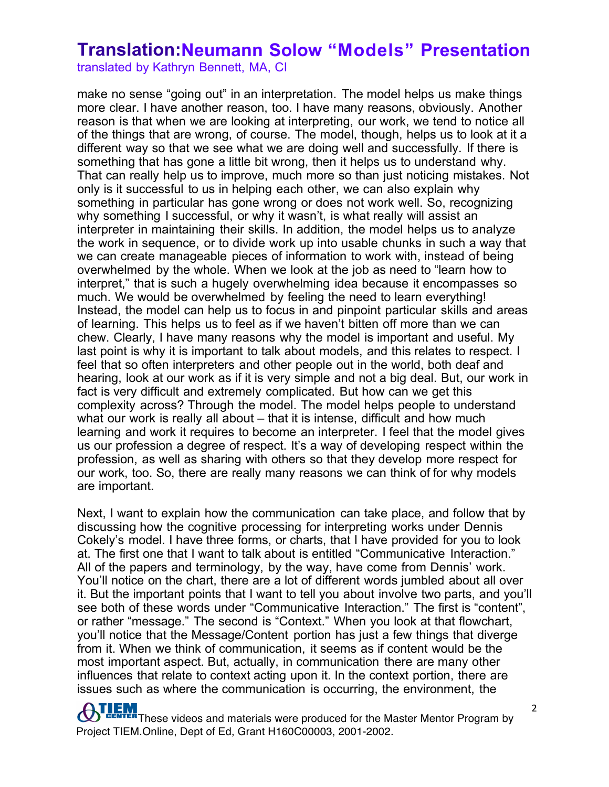translated by Kathryn Bennett, MA, CI

make no sense "going out" in an interpretation. The model helps us make things more clear. I have another reason, too. I have many reasons, obviously. Another reason is that when we are looking at interpreting, our work, we tend to notice all of the things that are wrong, of course. The model, though, helps us to look at it a different way so that we see what we are doing well and successfully. If there is something that has gone a little bit wrong, then it helps us to understand why. That can really help us to improve, much more so than just noticing mistakes. Not only is it successful to us in helping each other, we can also explain why something in particular has gone wrong or does not work well. So, recognizing why something I successful, or why it wasn't, is what really will assist an interpreter in maintaining their skills. In addition, the model helps us to analyze the work in sequence, or to divide work up into usable chunks in such a way that we can create manageable pieces of information to work with, instead of being overwhelmed by the whole. When we look at the job as need to "learn how to interpret," that is such a hugely overwhelming idea because it encompasses so much. We would be overwhelmed by feeling the need to learn everything! Instead, the model can help us to focus in and pinpoint particular skills and areas of learning. This helps us to feel as if we haven't bitten off more than we can chew. Clearly, I have many reasons why the model is important and useful. My last point is why it is important to talk about models, and this relates to respect. I feel that so often interpreters and other people out in the world, both deaf and hearing, look at our work as if it is very simple and not a big deal. But, our work in fact is very difficult and extremely complicated. But how can we get this complexity across? Through the model. The model helps people to understand what our work is really all about – that it is intense, difficult and how much learning and work it requires to become an interpreter. I feel that the model gives us our profession a degree of respect. It's a way of developing respect within the profession, as well as sharing with others so that they develop more respect for our work, too. So, there are really many reasons we can think of for why models are important.

Next, I want to explain how the communication can take place, and follow that by discussing how the cognitive processing for interpreting works under Dennis Cokely's model. I have three forms, or charts, that I have provided for you to look at. The first one that I want to talk about is entitled "Communicative Interaction." All of the papers and terminology, by the way, have come from Dennis' work. You'll notice on the chart, there are a lot of different words jumbled about all over it. But the important points that I want to tell you about involve two parts, and you'll see both of these words under "Communicative Interaction." The first is "content", or rather "message." The second is "Context." When you look at that flowchart, you'll notice that the Message/Content portion has just a few things that diverge from it. When we think of communication, it seems as if content would be the most important aspect. But, actually, in communication there are many other influences that relate to context acting upon it. In the context portion, there are issues such as where the communication is occurring, the environment, the

THEM<br>THE These videos and materials were produced for the Master Mentor Program by Project TIEM.Online, Dept of Ed, Grant H160C00003, 2001-2002.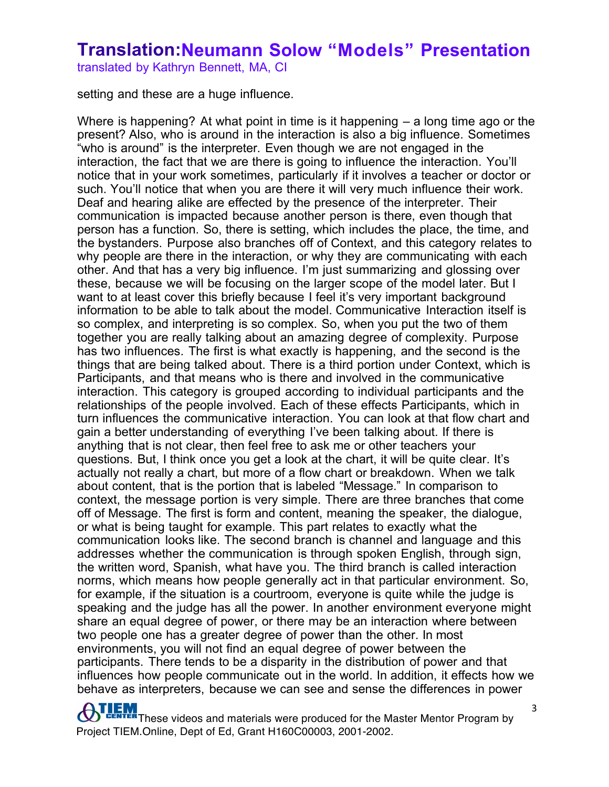translated by Kathryn Bennett, MA, CI

setting and these are a huge influence.

Where is happening? At what point in time is it happening – a long time ago or the present? Also, who is around in the interaction is also a big influence. Sometimes "who is around" is the interpreter. Even though we are not engaged in the interaction, the fact that we are there is going to influence the interaction. You'll notice that in your work sometimes, particularly if it involves a teacher or doctor or such. You'll notice that when you are there it will very much influence their work. Deaf and hearing alike are effected by the presence of the interpreter. Their communication is impacted because another person is there, even though that person has a function. So, there is setting, which includes the place, the time, and the bystanders. Purpose also branches off of Context, and this category relates to why people are there in the interaction, or why they are communicating with each other. And that has a very big influence. I'm just summarizing and glossing over these, because we will be focusing on the larger scope of the model later. But I want to at least cover this briefly because I feel it's very important background information to be able to talk about the model. Communicative Interaction itself is so complex, and interpreting is so complex. So, when you put the two of them together you are really talking about an amazing degree of complexity. Purpose has two influences. The first is what exactly is happening, and the second is the things that are being talked about. There is a third portion under Context, which is Participants, and that means who is there and involved in the communicative interaction. This category is grouped according to individual participants and the relationships of the people involved. Each of these effects Participants, which in turn influences the communicative interaction. You can look at that flow chart and gain a better understanding of everything I've been talking about. If there is anything that is not clear, then feel free to ask me or other teachers your questions. But, I think once you get a look at the chart, it will be quite clear. It's actually not really a chart, but more of a flow chart or breakdown. When we talk about content, that is the portion that is labeled "Message." In comparison to context, the message portion is very simple. There are three branches that come off of Message. The first is form and content, meaning the speaker, the dialogue, or what is being taught for example. This part relates to exactly what the communication looks like. The second branch is channel and language and this addresses whether the communication is through spoken English, through sign, the written word, Spanish, what have you. The third branch is called interaction norms, which means how people generally act in that particular environment. So, for example, if the situation is a courtroom, everyone is quite while the judge is speaking and the judge has all the power. In another environment everyone might share an equal degree of power, or there may be an interaction where between two people one has a greater degree of power than the other. In most environments, you will not find an equal degree of power between the participants. There tends to be a disparity in the distribution of power and that influences how people communicate out in the world. In addition, it effects how we behave as interpreters, because we can see and sense the differences in power

**THEM**<br>**THEM** These videos and materials were produced for the Master Mentor Program by Project TIEM.Online, Dept of Ed, Grant H160C00003, 2001-2002.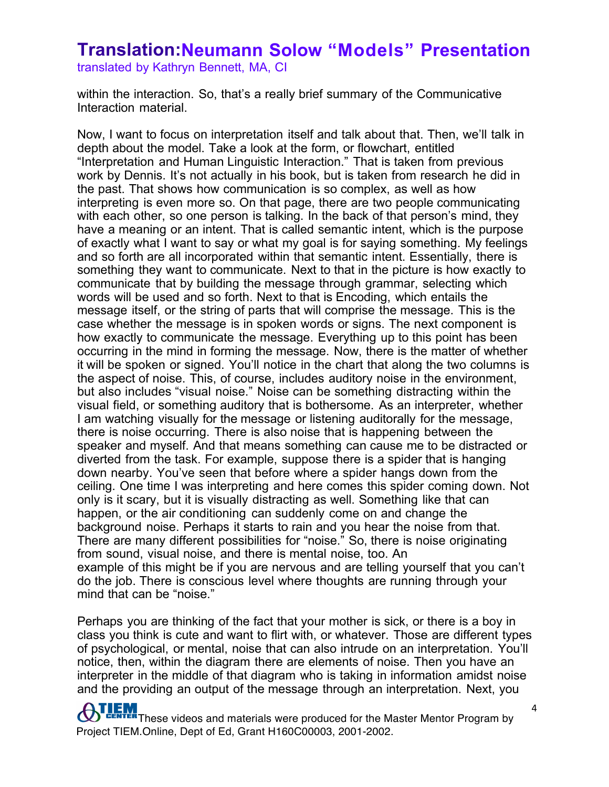translated by Kathryn Bennett, MA, CI

within the interaction. So, that's a really brief summary of the Communicative Interaction material.

Now, I want to focus on interpretation itself and talk about that. Then, we'll talk in depth about the model. Take a look at the form, or flowchart, entitled "Interpretation and Human Linguistic Interaction." That is taken from previous work by Dennis. It's not actually in his book, but is taken from research he did in the past. That shows how communication is so complex, as well as how interpreting is even more so. On that page, there are two people communicating with each other, so one person is talking. In the back of that person's mind, they have a meaning or an intent. That is called semantic intent, which is the purpose of exactly what I want to say or what my goal is for saying something. My feelings and so forth are all incorporated within that semantic intent. Essentially, there is something they want to communicate. Next to that in the picture is how exactly to communicate that by building the message through grammar, selecting which words will be used and so forth. Next to that is Encoding, which entails the message itself, or the string of parts that will comprise the message. This is the case whether the message is in spoken words or signs. The next component is how exactly to communicate the message. Everything up to this point has been occurring in the mind in forming the message. Now, there is the matter of whether it will be spoken or signed. You'll notice in the chart that along the two columns is the aspect of noise. This, of course, includes auditory noise in the environment, but also includes "visual noise." Noise can be something distracting within the visual field, or something auditory that is bothersome. As an interpreter, whether I am watching visually for the message or listening auditorally for the message, there is noise occurring. There is also noise that is happening between the speaker and myself. And that means something can cause me to be distracted or diverted from the task. For example, suppose there is a spider that is hanging down nearby. You've seen that before where a spider hangs down from the ceiling. One time I was interpreting and here comes this spider coming down. Not only is it scary, but it is visually distracting as well. Something like that can happen, or the air conditioning can suddenly come on and change the background noise. Perhaps it starts to rain and you hear the noise from that. There are many different possibilities for "noise." So, there is noise originating from sound, visual noise, and there is mental noise, too. An example of this might be if you are nervous and are telling yourself that you can't do the job. There is conscious level where thoughts are running through your mind that can be "noise."

Perhaps you are thinking of the fact that your mother is sick, or there is a boy in class you think is cute and want to flirt with, or whatever. Those are different types of psychological, or mental, noise that can also intrude on an interpretation. You'll notice, then, within the diagram there are elements of noise. Then you have an interpreter in the middle of that diagram who is taking in information amidst noise and the providing an output of the message through an interpretation. Next, you

**THEM**<br>These videos and materials were produced for the Master Mentor Program by Project TIEM.Online, Dept of Ed, Grant H160C00003, 2001-2002.

4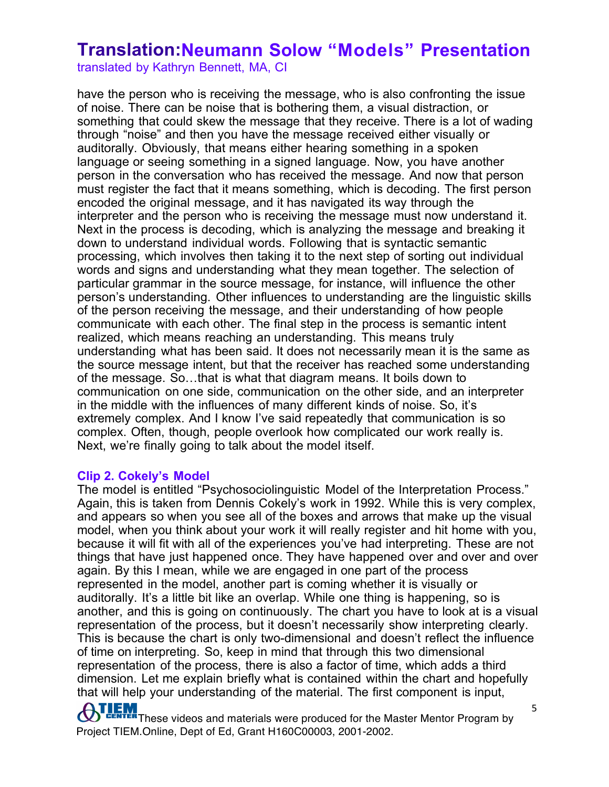translated by Kathryn Bennett, MA, CI

have the person who is receiving the message, who is also confronting the issue of noise. There can be noise that is bothering them, a visual distraction, or something that could skew the message that they receive. There is a lot of wading through "noise" and then you have the message received either visually or auditorally. Obviously, that means either hearing something in a spoken language or seeing something in a signed language. Now, you have another person in the conversation who has received the message. And now that person must register the fact that it means something, which is decoding. The first person encoded the original message, and it has navigated its way through the interpreter and the person who is receiving the message must now understand it. Next in the process is decoding, which is analyzing the message and breaking it down to understand individual words. Following that is syntactic semantic processing, which involves then taking it to the next step of sorting out individual words and signs and understanding what they mean together. The selection of particular grammar in the source message, for instance, will influence the other person's understanding. Other influences to understanding are the linguistic skills of the person receiving the message, and their understanding of how people communicate with each other. The final step in the process is semantic intent realized, which means reaching an understanding. This means truly understanding what has been said. It does not necessarily mean it is the same as the source message intent, but that the receiver has reached some understanding of the message. So…that is what that diagram means. It boils down to communication on one side, communication on the other side, and an interpreter in the middle with the influences of many different kinds of noise. So, it's extremely complex. And I know I've said repeatedly that communication is so complex. Often, though, people overlook how complicated our work really is. Next, we're finally going to talk about the model itself.

#### **Clip 2. Cokely's Model**

The model is entitled "Psychosociolinguistic Model of the Interpretation Process." Again, this is taken from Dennis Cokely's work in 1992. While this is very complex, and appears so when you see all of the boxes and arrows that make up the visual model, when you think about your work it will really register and hit home with you, because it will fit with all of the experiences you've had interpreting. These are not things that have just happened once. They have happened over and over and over again. By this I mean, while we are engaged in one part of the process represented in the model, another part is coming whether it is visually or auditorally. It's a little bit like an overlap. While one thing is happening, so is another, and this is going on continuously. The chart you have to look at is a visual representation of the process, but it doesn't necessarily show interpreting clearly. This is because the chart is only two-dimensional and doesn't reflect the influence of time on interpreting. So, keep in mind that through this two dimensional representation of the process, there is also a factor of time, which adds a third dimension. Let me explain briefly what is contained within the chart and hopefully that will help your understanding of the material. The first component is input,

**ATLEM**<br>These videos and materials were produced for the Master Mentor Program by Project TIEM.Online, Dept of Ed, Grant H160C00003, 2001-2002.

5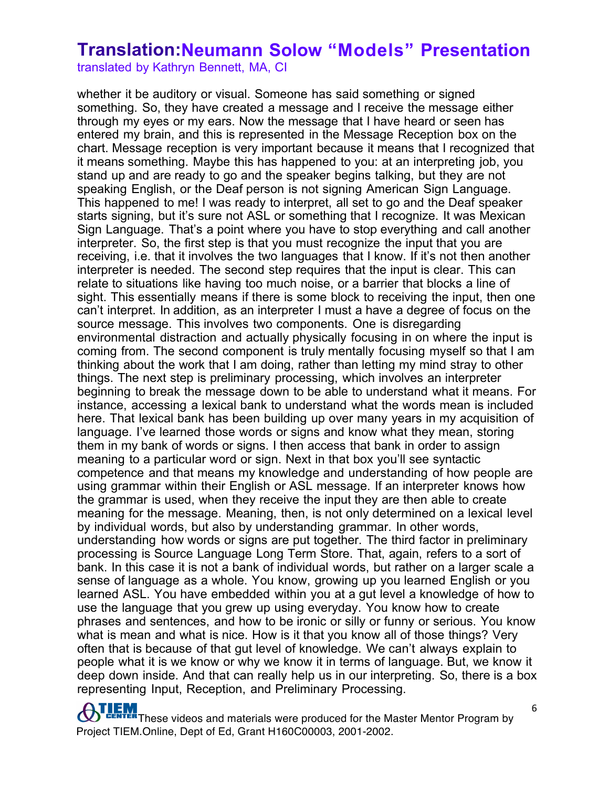translated by Kathryn Bennett, MA, CI

whether it be auditory or visual. Someone has said something or signed something. So, they have created a message and I receive the message either through my eyes or my ears. Now the message that I have heard or seen has entered my brain, and this is represented in the Message Reception box on the chart. Message reception is very important because it means that I recognized that it means something. Maybe this has happened to you: at an interpreting job, you stand up and are ready to go and the speaker begins talking, but they are not speaking English, or the Deaf person is not signing American Sign Language. This happened to me! I was ready to interpret, all set to go and the Deaf speaker starts signing, but it's sure not ASL or something that I recognize. It was Mexican Sign Language. That's a point where you have to stop everything and call another interpreter. So, the first step is that you must recognize the input that you are receiving, i.e. that it involves the two languages that I know. If it's not then another interpreter is needed. The second step requires that the input is clear. This can relate to situations like having too much noise, or a barrier that blocks a line of sight. This essentially means if there is some block to receiving the input, then one can't interpret. In addition, as an interpreter I must a have a degree of focus on the source message. This involves two components. One is disregarding environmental distraction and actually physically focusing in on where the input is coming from. The second component is truly mentally focusing myself so that I am thinking about the work that I am doing, rather than letting my mind stray to other things. The next step is preliminary processing, which involves an interpreter beginning to break the message down to be able to understand what it means. For instance, accessing a lexical bank to understand what the words mean is included here. That lexical bank has been building up over many years in my acquisition of language. I've learned those words or signs and know what they mean, storing them in my bank of words or signs. I then access that bank in order to assign meaning to a particular word or sign. Next in that box you'll see syntactic competence and that means my knowledge and understanding of how people are using grammar within their English or ASL message. If an interpreter knows how the grammar is used, when they receive the input they are then able to create meaning for the message. Meaning, then, is not only determined on a lexical level by individual words, but also by understanding grammar. In other words, understanding how words or signs are put together. The third factor in preliminary processing is Source Language Long Term Store. That, again, refers to a sort of bank. In this case it is not a bank of individual words, but rather on a larger scale a sense of language as a whole. You know, growing up you learned English or you learned ASL. You have embedded within you at a gut level a knowledge of how to use the language that you grew up using everyday. You know how to create phrases and sentences, and how to be ironic or silly or funny or serious. You know what is mean and what is nice. How is it that you know all of those things? Very often that is because of that gut level of knowledge. We can't always explain to people what it is we know or why we know it in terms of language. But, we know it deep down inside. And that can really help us in our interpreting. So, there is a box representing Input, Reception, and Preliminary Processing.

**THEM**<br>These videos and materials were produced for the Master Mentor Program by Project TIEM.Online, Dept of Ed, Grant H160C00003, 2001-2002.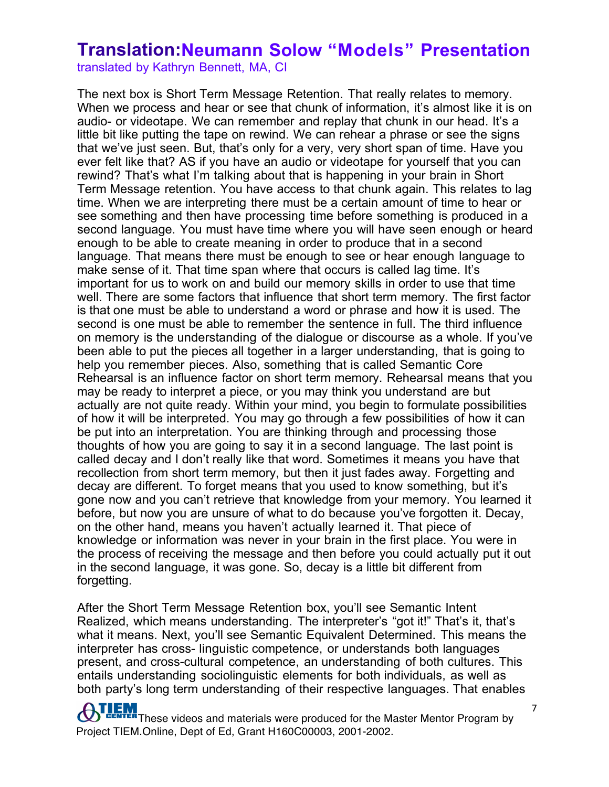translated by Kathryn Bennett, MA, CI

The next box is Short Term Message Retention. That really relates to memory. When we process and hear or see that chunk of information, it's almost like it is on audio- or videotape. We can remember and replay that chunk in our head. It's a little bit like putting the tape on rewind. We can rehear a phrase or see the signs that we've just seen. But, that's only for a very, very short span of time. Have you ever felt like that? AS if you have an audio or videotape for yourself that you can rewind? That's what I'm talking about that is happening in your brain in Short Term Message retention. You have access to that chunk again. This relates to lag time. When we are interpreting there must be a certain amount of time to hear or see something and then have processing time before something is produced in a second language. You must have time where you will have seen enough or heard enough to be able to create meaning in order to produce that in a second language. That means there must be enough to see or hear enough language to make sense of it. That time span where that occurs is called lag time. It's important for us to work on and build our memory skills in order to use that time well. There are some factors that influence that short term memory. The first factor is that one must be able to understand a word or phrase and how it is used. The second is one must be able to remember the sentence in full. The third influence on memory is the understanding of the dialogue or discourse as a whole. If you've been able to put the pieces all together in a larger understanding, that is going to help you remember pieces. Also, something that is called Semantic Core Rehearsal is an influence factor on short term memory. Rehearsal means that you may be ready to interpret a piece, or you may think you understand are but actually are not quite ready. Within your mind, you begin to formulate possibilities of how it will be interpreted. You may go through a few possibilities of how it can be put into an interpretation. You are thinking through and processing those thoughts of how you are going to say it in a second language. The last point is called decay and I don't really like that word. Sometimes it means you have that recollection from short term memory, but then it just fades away. Forgetting and decay are different. To forget means that you used to know something, but it's gone now and you can't retrieve that knowledge from your memory. You learned it before, but now you are unsure of what to do because you've forgotten it. Decay, on the other hand, means you haven't actually learned it. That piece of knowledge or information was never in your brain in the first place. You were in the process of receiving the message and then before you could actually put it out in the second language, it was gone. So, decay is a little bit different from forgetting.

After the Short Term Message Retention box, you'll see Semantic Intent Realized, which means understanding. The interpreter's "got it!" That's it, that's what it means. Next, you'll see Semantic Equivalent Determined. This means the interpreter has cross- linguistic competence, or understands both languages present, and cross-cultural competence, an understanding of both cultures. This entails understanding sociolinguistic elements for both individuals, as well as both party's long term understanding of their respective languages. That enables

**THEM**<br>These videos and materials were produced for the Master Mentor Program by Project TIEM.Online, Dept of Ed, Grant H160C00003, 2001-2002.

7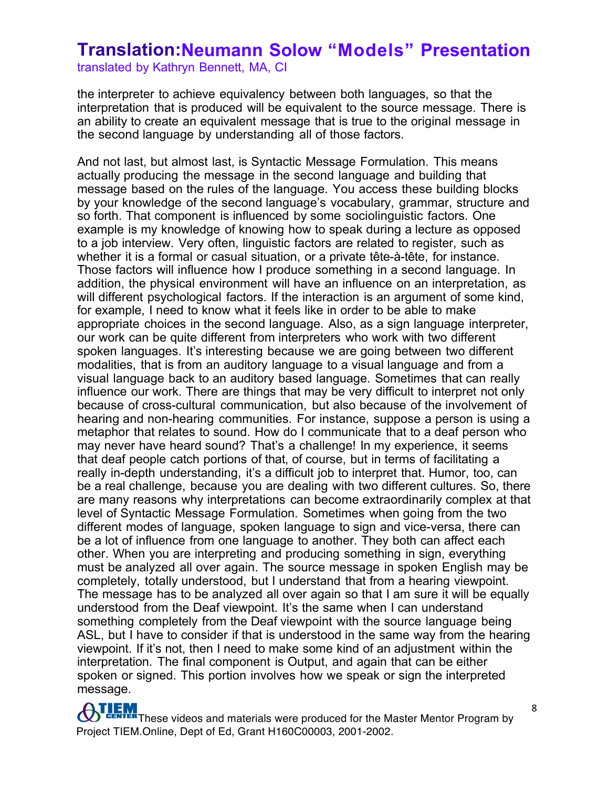translated by Kathryn Bennett, MA, CI

the interpreter to achieve equivalency between both languages, so that the interpretation that is produced will be equivalent to the source message. There is an ability to create an equivalent message that is true to the original message in the second language by understanding all of those factors.

And not last, but almost last, is Syntactic Message Formulation. This means actually producing the message in the second language and building that message based on the rules of the language. You access these building blocks by your knowledge of the second language's vocabulary, grammar, structure and so forth. That component is influenced by some sociolinguistic factors. One example is my knowledge of knowing how to speak during a lecture as opposed to a job interview. Very often, linguistic factors are related to register, such as whether it is a formal or casual situation, or a private tête-à-tête, for instance. Those factors will influence how I produce something in a second language. In addition, the physical environment will have an influence on an interpretation, as will different psychological factors. If the interaction is an argument of some kind, for example, I need to know what it feels like in order to be able to make appropriate choices in the second language. Also, as a sign language interpreter, our work can be quite different from interpreters who work with two different spoken languages. It's interesting because we are going between two different modalities, that is from an auditory language to a visual language and from a visual language back to an auditory based language. Sometimes that can really influence our work. There are things that may be very difficult to interpret not only because of cross-cultural communication, but also because of the involvement of hearing and non-hearing communities. For instance, suppose a person is using a metaphor that relates to sound. How do I communicate that to a deaf person who may never have heard sound? That's a challenge! In my experience, it seems that deaf people catch portions of that, of course, but in terms of facilitating a really in-depth understanding, it's a difficult job to interpret that. Humor, too, can be a real challenge, because you are dealing with two different cultures. So, there are many reasons why interpretations can become extraordinarily complex at that level of Syntactic Message Formulation. Sometimes when going from the two different modes of language, spoken language to sign and vice-versa, there can be a lot of influence from one language to another. They both can affect each other. When you are interpreting and producing something in sign, everything must be analyzed all over again. The source message in spoken English may be completely, totally understood, but I understand that from a hearing viewpoint. The message has to be analyzed all over again so that I am sure it will be equally understood from the Deaf viewpoint. It's the same when I can understand something completely from the Deaf viewpoint with the source language being ASL, but I have to consider if that is understood in the same way from the hearing viewpoint. If it's not, then I need to make some kind of an adjustment within the interpretation. The final component is Output, and again that can be either spoken or signed. This portion involves how we speak or sign the interpreted message.

**OTLEM**<br>These videos and materials were produced for the Master Mentor Program by Project TIEM.Online, Dept of Ed, Grant H160C00003, 2001-2002.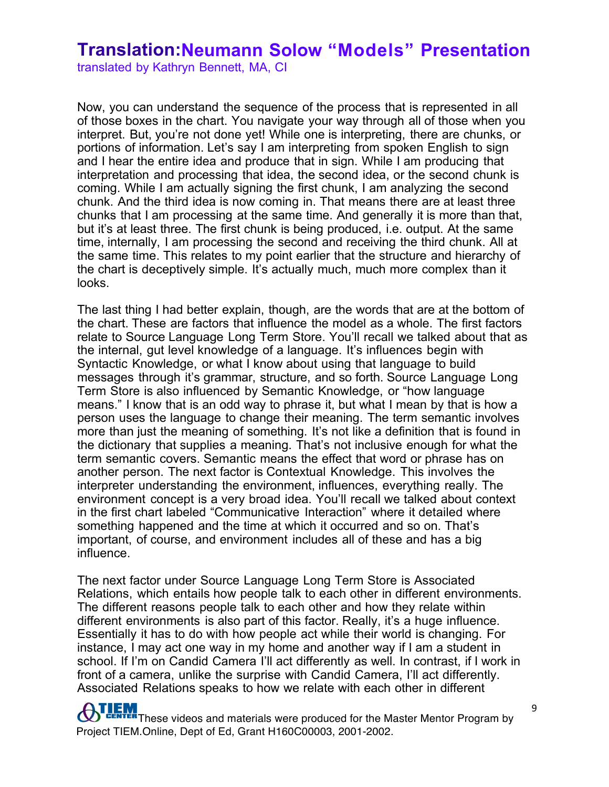translated by Kathryn Bennett, MA, CI

Now, you can understand the sequence of the process that is represented in all of those boxes in the chart. You navigate your way through all of those when you interpret. But, you're not done yet! While one is interpreting, there are chunks, or portions of information. Let's say I am interpreting from spoken English to sign and I hear the entire idea and produce that in sign. While I am producing that interpretation and processing that idea, the second idea, or the second chunk is coming. While I am actually signing the first chunk, I am analyzing the second chunk. And the third idea is now coming in. That means there are at least three chunks that I am processing at the same time. And generally it is more than that, but it's at least three. The first chunk is being produced, i.e. output. At the same time, internally, I am processing the second and receiving the third chunk. All at the same time. This relates to my point earlier that the structure and hierarchy of the chart is deceptively simple. It's actually much, much more complex than it looks.

The last thing I had better explain, though, are the words that are at the bottom of the chart. These are factors that influence the model as a whole. The first factors relate to Source Language Long Term Store. You'll recall we talked about that as the internal, gut level knowledge of a language. It's influences begin with Syntactic Knowledge, or what I know about using that language to build messages through it's grammar, structure, and so forth. Source Language Long Term Store is also influenced by Semantic Knowledge, or "how language means." I know that is an odd way to phrase it, but what I mean by that is how a person uses the language to change their meaning. The term semantic involves more than just the meaning of something. It's not like a definition that is found in the dictionary that supplies a meaning. That's not inclusive enough for what the term semantic covers. Semantic means the effect that word or phrase has on another person. The next factor is Contextual Knowledge. This involves the interpreter understanding the environment, influences, everything really. The environment concept is a very broad idea. You'll recall we talked about context in the first chart labeled "Communicative Interaction" where it detailed where something happened and the time at which it occurred and so on. That's important, of course, and environment includes all of these and has a big influence.

The next factor under Source Language Long Term Store is Associated Relations, which entails how people talk to each other in different environments. The different reasons people talk to each other and how they relate within different environments is also part of this factor. Really, it's a huge influence. Essentially it has to do with how people act while their world is changing. For instance, I may act one way in my home and another way if I am a student in school. If I'm on Candid Camera I'll act differently as well. In contrast, if I work in front of a camera, unlike the surprise with Candid Camera, I'll act differently. Associated Relations speaks to how we relate with each other in different

**TEM**<br>**CENTER** These videos and materials were produced for the Master Mentor Program by Project TIEM.Online, Dept of Ed, Grant H160C00003, 2001-2002.